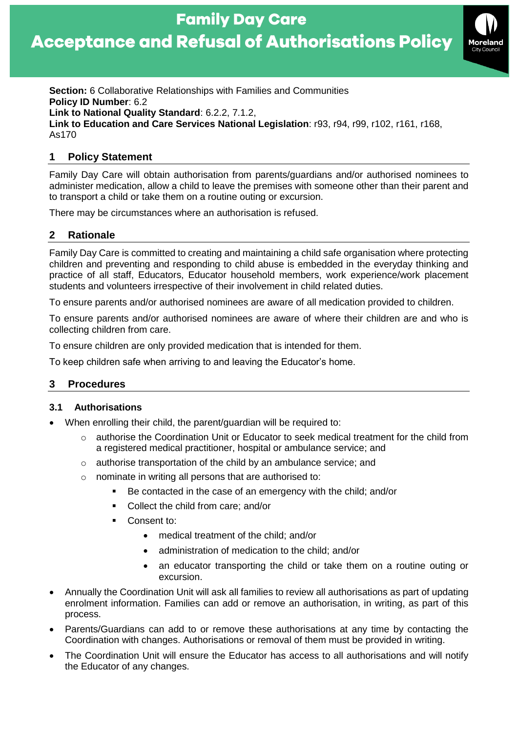



**Section:** 6 Collaborative Relationships with Families and Communities **Policy ID Number**: 6.2 **Link to National Quality Standard**: 6.2.2, 7.1.2, **Link to Education and Care Services National Legislation**: r93, r94, r99, r102, r161, r168, As170

### **1 Policy Statement**

Family Day Care will obtain authorisation from parents/guardians and/or authorised nominees to administer medication, allow a child to leave the premises with someone other than their parent and to transport a child or take them on a routine outing or excursion.

There may be circumstances where an authorisation is refused.

# **2 Rationale**

Family Day Care is committed to creating and maintaining a child safe organisation where protecting children and preventing and responding to child abuse is embedded in the everyday thinking and practice of all staff, Educators, Educator household members, work experience/work placement students and volunteers irrespective of their involvement in child related duties.

To ensure parents and/or authorised nominees are aware of all medication provided to children.

To ensure parents and/or authorised nominees are aware of where their children are and who is collecting children from care.

To ensure children are only provided medication that is intended for them.

To keep children safe when arriving to and leaving the Educator's home.

# **3 Procedures**

#### **3.1 Authorisations**

- When enrolling their child, the parent/guardian will be required to:
	- $\circ$  authorise the Coordination Unit or Educator to seek medical treatment for the child from a registered medical practitioner, hospital or ambulance service; and
	- o authorise transportation of the child by an ambulance service; and
	- o nominate in writing all persons that are authorised to:
		- Be contacted in the case of an emergency with the child; and/or
		- Collect the child from care: and/or
		- Consent to:
			- medical treatment of the child; and/or
			- administration of medication to the child; and/or
			- an educator transporting the child or take them on a routine outing or excursion.
- Annually the Coordination Unit will ask all families to review all authorisations as part of updating enrolment information. Families can add or remove an authorisation, in writing, as part of this process.
- Parents/Guardians can add to or remove these authorisations at any time by contacting the Coordination with changes. Authorisations or removal of them must be provided in writing.
- The Coordination Unit will ensure the Educator has access to all authorisations and will notify the Educator of any changes.